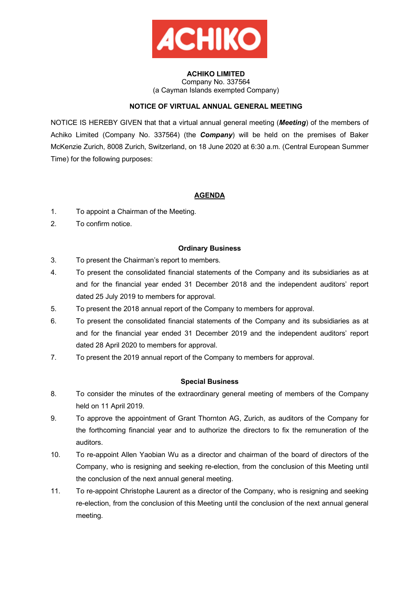

### **ACHIKO LIMITED**  Company No. 337564 (a Cayman Islands exempted Company)

# **NOTICE OF VIRTUAL ANNUAL GENERAL MEETING**

NOTICE IS HEREBY GIVEN that that a virtual annual general meeting (*Meeting*) of the members of Achiko Limited (Company No. 337564) (the *Company*) will be held on the premises of Baker McKenzie Zurich, 8008 Zurich, Switzerland, on 18 June 2020 at 6:30 a.m. (Central European Summer Time) for the following purposes:

# **AGENDA**

- 1. To appoint a Chairman of the Meeting.
- 2. To confirm notice.

# **Ordinary Business**

- 3. To present the Chairman's report to members.
- 4. To present the consolidated financial statements of the Company and its subsidiaries as at and for the financial year ended 31 December 2018 and the independent auditors' report dated 25 July 2019 to members for approval.
- 5. To present the 2018 annual report of the Company to members for approval.
- 6. To present the consolidated financial statements of the Company and its subsidiaries as at and for the financial year ended 31 December 2019 and the independent auditors' report dated 28 April 2020 to members for approval.
- 7. To present the 2019 annual report of the Company to members for approval.

# **Special Business**

- 8. To consider the minutes of the extraordinary general meeting of members of the Company held on 11 April 2019.
- 9. To approve the appointment of Grant Thornton AG, Zurich, as auditors of the Company for the forthcoming financial year and to authorize the directors to fix the remuneration of the auditors.
- 10. To re-appoint Allen Yaobian Wu as a director and chairman of the board of directors of the Company, who is resigning and seeking re-election, from the conclusion of this Meeting until the conclusion of the next annual general meeting.
- 11. To re-appoint Christophe Laurent as a director of the Company, who is resigning and seeking re-election, from the conclusion of this Meeting until the conclusion of the next annual general meeting.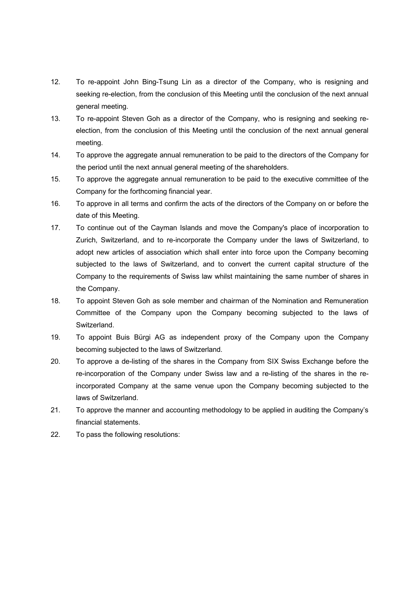- 12. To re-appoint John Bing-Tsung Lin as a director of the Company, who is resigning and seeking re-election, from the conclusion of this Meeting until the conclusion of the next annual general meeting.
- 13. To re-appoint Steven Goh as a director of the Company, who is resigning and seeking reelection, from the conclusion of this Meeting until the conclusion of the next annual general meeting.
- 14. To approve the aggregate annual remuneration to be paid to the directors of the Company for the period until the next annual general meeting of the shareholders.
- 15. To approve the aggregate annual remuneration to be paid to the executive committee of the Company for the forthcoming financial year.
- 16. To approve in all terms and confirm the acts of the directors of the Company on or before the date of this Meeting.
- 17. To continue out of the Cayman Islands and move the Company's place of incorporation to Zurich, Switzerland, and to re-incorporate the Company under the laws of Switzerland, to adopt new articles of association which shall enter into force upon the Company becoming subjected to the laws of Switzerland, and to convert the current capital structure of the Company to the requirements of Swiss law whilst maintaining the same number of shares in the Company.
- 18. To appoint Steven Goh as sole member and chairman of the Nomination and Remuneration Committee of the Company upon the Company becoming subjected to the laws of Switzerland.
- 19. To appoint Buis Bürgi AG as independent proxy of the Company upon the Company becoming subjected to the laws of Switzerland.
- 20. To approve a de-listing of the shares in the Company from SIX Swiss Exchange before the re-incorporation of the Company under Swiss law and a re-listing of the shares in the reincorporated Company at the same venue upon the Company becoming subjected to the laws of Switzerland.
- 21. To approve the manner and accounting methodology to be applied in auditing the Company's financial statements.
- 22. To pass the following resolutions: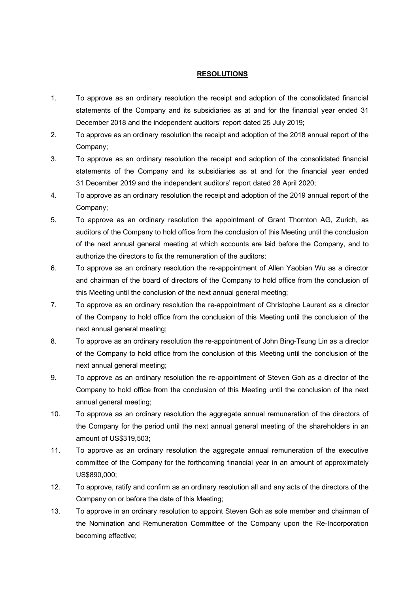## **RESOLUTIONS**

- 1. To approve as an ordinary resolution the receipt and adoption of the consolidated financial statements of the Company and its subsidiaries as at and for the financial year ended 31 December 2018 and the independent auditors' report dated 25 July 2019;
- 2. To approve as an ordinary resolution the receipt and adoption of the 2018 annual report of the Company;
- 3. To approve as an ordinary resolution the receipt and adoption of the consolidated financial statements of the Company and its subsidiaries as at and for the financial year ended 31 December 2019 and the independent auditors' report dated 28 April 2020;
- 4. To approve as an ordinary resolution the receipt and adoption of the 2019 annual report of the Company;
- 5. To approve as an ordinary resolution the appointment of Grant Thornton AG, Zurich, as auditors of the Company to hold office from the conclusion of this Meeting until the conclusion of the next annual general meeting at which accounts are laid before the Company, and to authorize the directors to fix the remuneration of the auditors;
- 6. To approve as an ordinary resolution the re-appointment of Allen Yaobian Wu as a director and chairman of the board of directors of the Company to hold office from the conclusion of this Meeting until the conclusion of the next annual general meeting;
- 7. To approve as an ordinary resolution the re-appointment of Christophe Laurent as a director of the Company to hold office from the conclusion of this Meeting until the conclusion of the next annual general meeting;
- 8. To approve as an ordinary resolution the re-appointment of John Bing-Tsung Lin as a director of the Company to hold office from the conclusion of this Meeting until the conclusion of the next annual general meeting;
- 9. To approve as an ordinary resolution the re-appointment of Steven Goh as a director of the Company to hold office from the conclusion of this Meeting until the conclusion of the next annual general meeting;
- 10. To approve as an ordinary resolution the aggregate annual remuneration of the directors of the Company for the period until the next annual general meeting of the shareholders in an amount of US\$319,503;
- 11. To approve as an ordinary resolution the aggregate annual remuneration of the executive committee of the Company for the forthcoming financial year in an amount of approximately US\$890,000;
- 12. To approve, ratify and confirm as an ordinary resolution all and any acts of the directors of the Company on or before the date of this Meeting;
- 13. To approve in an ordinary resolution to appoint Steven Goh as sole member and chairman of the Nomination and Remuneration Committee of the Company upon the Re-Incorporation becoming effective;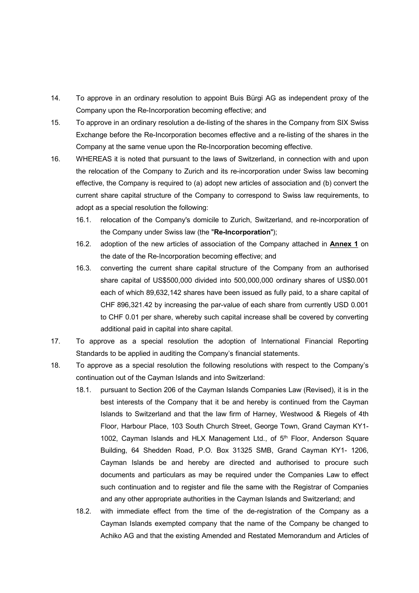- 14. To approve in an ordinary resolution to appoint Buis Bürgi AG as independent proxy of the Company upon the Re-Incorporation becoming effective; and
- 15. To approve in an ordinary resolution a de-listing of the shares in the Company from SIX Swiss Exchange before the Re-Incorporation becomes effective and a re-listing of the shares in the Company at the same venue upon the Re-Incorporation becoming effective.
- 16. WHEREAS it is noted that pursuant to the laws of Switzerland, in connection with and upon the relocation of the Company to Zurich and its re-incorporation under Swiss law becoming effective, the Company is required to (a) adopt new articles of association and (b) convert the current share capital structure of the Company to correspond to Swiss law requirements, to adopt as a special resolution the following:
	- 16.1. relocation of the Company's domicile to Zurich, Switzerland, and re-incorporation of the Company under Swiss law (the "**Re-Incorporation**");
	- 16.2. adoption of the new articles of association of the Company attached in **Annex 1** on the date of the Re-Incorporation becoming effective; and
	- 16.3. converting the current share capital structure of the Company from an authorised share capital of US\$500,000 divided into 500,000,000 ordinary shares of US\$0.001 each of which 89,632,142 shares have been issued as fully paid, to a share capital of CHF 896,321.42 by increasing the par-value of each share from currently USD 0.001 to CHF 0.01 per share, whereby such capital increase shall be covered by converting additional paid in capital into share capital.
- 17. To approve as a special resolution the adoption of International Financial Reporting Standards to be applied in auditing the Company's financial statements.
- 18. To approve as a special resolution the following resolutions with respect to the Company's continuation out of the Cayman Islands and into Switzerland:
	- 18.1. pursuant to Section 206 of the Cayman Islands Companies Law (Revised), it is in the best interests of the Company that it be and hereby is continued from the Cayman Islands to Switzerland and that the law firm of Harney, Westwood & Riegels of 4th Floor, Harbour Place, 103 South Church Street, George Town, Grand Cayman KY1- 1002, Cayman Islands and HLX Management Ltd., of 5<sup>th</sup> Floor, Anderson Square Building, 64 Shedden Road, P.O. Box 31325 SMB, Grand Cayman KY1- 1206, Cayman Islands be and hereby are directed and authorised to procure such documents and particulars as may be required under the Companies Law to effect such continuation and to register and file the same with the Registrar of Companies and any other appropriate authorities in the Cayman Islands and Switzerland; and
	- 18.2. with immediate effect from the time of the de-registration of the Company as a Cayman Islands exempted company that the name of the Company be changed to Achiko AG and that the existing Amended and Restated Memorandum and Articles of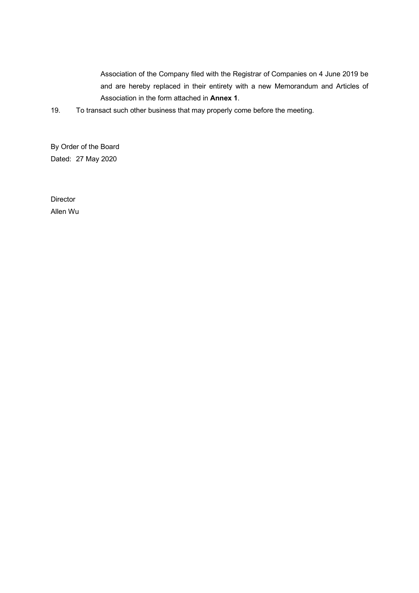Association of the Company filed with the Registrar of Companies on 4 June 2019 be and are hereby replaced in their entirety with a new Memorandum and Articles of Association in the form attached in **Annex 1**.

19. To transact such other business that may properly come before the meeting.

By Order of the Board Dated: 27 May 2020

**Director** Allen Wu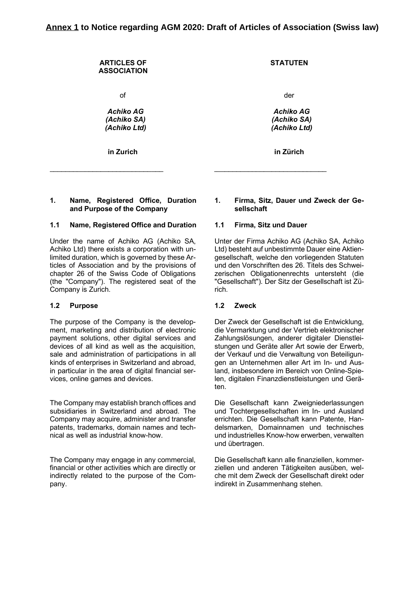| <b>ARTICLES OF</b><br><b>ASSOCIATION</b>        | <b>STATUTEN</b>                                 |
|-------------------------------------------------|-------------------------------------------------|
| οf                                              | der                                             |
| <b>Achiko AG</b><br>(Achiko SA)<br>(Achiko Ltd) | <b>Achiko AG</b><br>(Achiko SA)<br>(Achiko Ltd) |
| in Zurich                                       | in Zürich                                       |

# **1. Name, Registered Office, Duration and Purpose of the Company**

### **1.1 Name, Registered Office and Duration 1.1 Firma, Sitz und Dauer**

Under the name of Achiko AG (Achiko SA, Achiko Ltd) there exists a corporation with unlimited duration, which is governed by these Articles of Association and by the provisions of chapter 26 of the Swiss Code of Obligations (the "Company"). The registered seat of the Company is Zurich.

### **1.2 Purpose 1.2 Zweck**

The purpose of the Company is the development, marketing and distribution of electronic payment solutions, other digital services and devices of all kind as well as the acquisition, sale and administration of participations in all kinds of enterprises in Switzerland and abroad, in particular in the area of digital financial services, online games and devices.

The Company may establish branch offices and subsidiaries in Switzerland and abroad. The Company may acquire, administer and transfer patents, trademarks, domain names and technical as well as industrial know-how.

The Company may engage in any commercial, financial or other activities which are directly or indirectly related to the purpose of the Company.

## **1. Firma, Sitz, Dauer und Zweck der Gesellschaft**

Unter der Firma Achiko AG (Achiko SA, Achiko Ltd) besteht auf unbestimmte Dauer eine Aktiengesellschaft, welche den vorliegenden Statuten und den Vorschriften des 26. Titels des Schweizerischen Obligationenrechts untersteht (die "Gesellschaft"). Der Sitz der Gesellschaft ist Zürich.

Der Zweck der Gesellschaft ist die Entwicklung, die Vermarktung und der Vertrieb elektronischer Zahlungslösungen, anderer digitaler Dienstleistungen und Geräte aller Art sowie der Erwerb, der Verkauf und die Verwaltung von Beteiligungen an Unternehmen aller Art im In- und Ausland, insbesondere im Bereich von Online-Spielen, digitalen Finanzdienstleistungen und Geräten.

Die Gesellschaft kann Zweigniederlassungen und Tochtergesellschaften im In- und Ausland errichten. Die Gesellschaft kann Patente, Handelsmarken, Domainnamen und technisches und industrielles Know-how erwerben, verwalten und übertragen.

Die Gesellschaft kann alle finanziellen, kommerziellen und anderen Tätigkeiten ausüben, welche mit dem Zweck der Gesellschaft direkt oder indirekt in Zusammenhang stehen.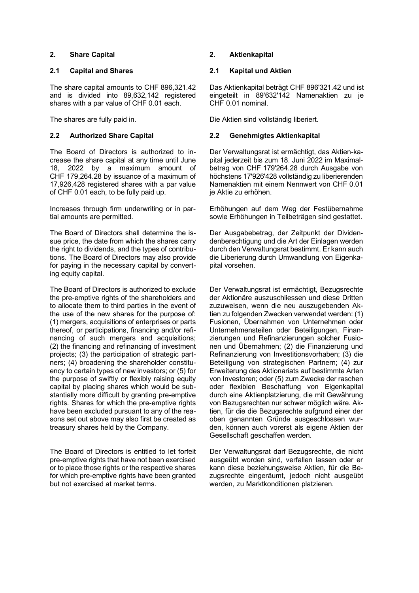# **2. Share Capital 2. Aktienkapital**

## **2.1 Capital and Shares 2.1 Kapital und Aktien**

The share capital amounts to CHF 896,321.42 and is divided into 89,632,142 registered shares with a par value of CHF 0.01 each.

The Board of Directors is authorized to increase the share capital at any time until June 18, 2022 by a maximum amount of CHF 179,264.28 by issuance of a maximum of 17,926,428 registered shares with a par value of CHF 0.01 each, to be fully paid up.

Increases through firm underwriting or in partial amounts are permitted.

The Board of Directors shall determine the issue price, the date from which the shares carry the right to dividends, and the types of contributions. The Board of Directors may also provide for paying in the necessary capital by converting equity capital.

The Board of Directors is authorized to exclude the pre-emptive rights of the shareholders and to allocate them to third parties in the event of the use of the new shares for the purpose of: (1) mergers, acquisitions of enterprises or parts thereof, or participations, financing and/or refinancing of such mergers and acquisitions; (2) the financing and refinancing of investment projects; (3) the participation of strategic partners; (4) broadening the shareholder constituency to certain types of new investors; or (5) for the purpose of swiftly or flexibly raising equity capital by placing shares which would be substantially more difficult by granting pre-emptive rights. Shares for which the pre-emptive rights have been excluded pursuant to any of the reasons set out above may also first be created as treasury shares held by the Company.

The Board of Directors is entitled to let forfeit pre-emptive rights that have not been exercised or to place those rights or the respective shares for which pre-emptive rights have been granted but not exercised at market terms.

Das Aktienkapital beträgt CHF 896'321.42 und ist eingeteilt in 89'632'142 Namenaktien zu je CHF 0.01 nominal.

The shares are fully paid in. Die Aktien sind vollständig liberiert.

# **2.2 Authorized Share Capital 2.2 Genehmigtes Aktienkapital**

 Der Verwaltungsrat ist ermächtigt, das Aktien-kapital jederzeit bis zum 18. Juni 2022 im Maximalbetrag von CHF 179'264.28 durch Ausgabe von höchstens 17'926'428 vollständig zu liberierenden Namenaktien mit einem Nennwert von CHF 0.01 je Aktie zu erhöhen.

 Erhöhungen auf dem Weg der Festübernahme sowie Erhöhungen in Teilbeträgen sind gestattet.

 Der Ausgabebetrag, der Zeitpunkt der Dividendenberechtigung und die Art der Einlagen werden durch den Verwaltungsrat bestimmt. Er kann auch die Liberierung durch Umwandlung von Eigenkapital vorsehen.

 Der Verwaltungsrat ist ermächtigt, Bezugsrechte der Aktionäre auszuschliessen und diese Dritten zuzuweisen, wenn die neu auszugebenden Aktien zu folgenden Zwecken verwendet werden: (1) Fusionen, Übernahmen von Unternehmen oder Unternehmensteilen oder Beteiligungen, Finanzierungen und Refinanzierungen solcher Fusionen und Übernahmen; (2) die Finanzierung und Refinanzierung von Investitionsvorhaben; (3) die Beteiligung von strategischen Partnern; (4) zur Erweiterung des Aktionariats auf bestimmte Arten von Investoren; oder (5) zum Zwecke der raschen oder flexiblen Beschaffung von Eigenkapital durch eine Aktienplatzierung, die mit Gewährung von Bezugsrechten nur schwer möglich wäre. Aktien, für die die Bezugsrechte aufgrund einer der oben genannten Gründe ausgeschlossen wurden, können auch vorerst als eigene Aktien der Gesellschaft geschaffen werden.

 Der Verwaltungsrat darf Bezugsrechte, die nicht ausgeübt worden sind, verfallen lassen oder er kann diese beziehungsweise Aktien, für die Bezugsrechte eingeräumt, jedoch nicht ausgeübt werden, zu Marktkonditionen platzieren.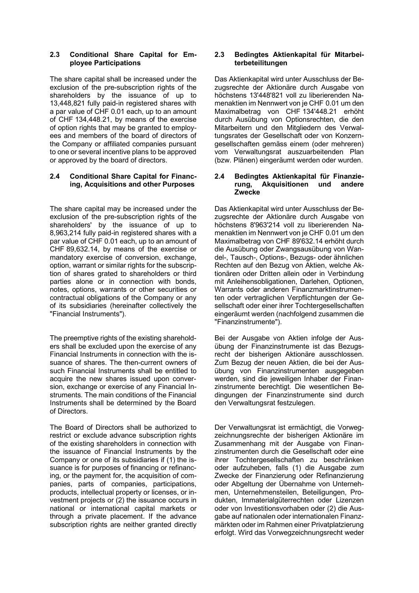# **2.3 Conditional Share Capital for Employee Participations**

The share capital shall be increased under the exclusion of the pre-subscription rights of the shareholders by the issuance of up to 13,448,821 fully paid-in registered shares with a par value of CHF 0.01 each, up to an amount of CHF 134,448.21, by means of the exercise of option rights that may be granted to employees and members of the board of directors of the Company or affiliated companies pursuant to one or several incentive plans to be approved or approved by the board of directors.

## **2.4 Conditional Share Capital for Financing, Acquisitions and other Purposes**

The share capital may be increased under the exclusion of the pre-subscription rights of the shareholders' by the issuance of up to 8,963,214 fully paid-in registered shares with a par value of CHF 0.01 each, up to an amount of CHF 89,632.14, by means of the exercise or mandatory exercise of conversion, exchange, option, warrant or similar rights for the subscription of shares grated to shareholders or third parties alone or in connection with bonds, notes, options, warrants or other securities or contractual obligations of the Company or any of its subsidiaries (hereinafter collectively the "Financial Instruments").

The preemptive rights of the existing shareholders shall be excluded upon the exercise of any Financial Instruments in connection with the issuance of shares. The then-current owners of such Financial Instruments shall be entitled to acquire the new shares issued upon conversion, exchange or exercise of any Financial Instruments. The main conditions of the Financial Instruments shall be determined by the Board of Directors.

The Board of Directors shall be authorized to restrict or exclude advance subscription rights of the existing shareholders in connection with the issuance of Financial Instruments by the Company or one of its subsidiaries if (1) the issuance is for purposes of financing or refinancing, or the payment for, the acquisition of companies, parts of companies, participations, products, intellectual property or licenses, or investment projects or (2) the issuance occurs in national or international capital markets or through a private placement. If the advance subscription rights are neither granted directly

# **2.3 Bedingtes Aktienkapital für Mitarbeiterbeteilitungen**

Das Aktienkapital wird unter Ausschluss der Bezugsrechte der Aktionäre durch Ausgabe von höchstens 13'448'821 voll zu liberierenden Namenaktien im Nennwert von je CHF 0.01 um den Maximalbetrag von CHF 134'448.21 erhöht durch Ausübung von Optionsrechten, die den Mitarbeitern und den Mitgliedern des Verwaltungsrates der Gesellschaft oder von Konzerngesellschaften gemäss einem (oder mehreren) vom Verwaltungsrat auszuarbeitenden Plan (bzw. Plänen) eingeräumt werden oder wurden.

## **2.4 Bedingtes Aktienkapital für Finanzierung, Akquisitionen und andere Zwecke**

Das Aktienkapital wird unter Ausschluss der Bezugsrechte der Aktionäre durch Ausgabe von höchstens 8'963'214 voll zu liberierenden Namenaktien im Nennwert von je CHF 0.01 um den Maximalbetrag von CHF 89'632.14 erhöht durch die Ausübung oder Zwangsausübung von Wandel-, Tausch-, Options-, Bezugs- oder ähnlichen Rechten auf den Bezug von Aktien, welche Aktionären oder Dritten allein oder in Verbindung mit Anleihensobligationen, Darlehen, Optionen, Warrants oder anderen Finanzmarktinstrumenten oder vertraglichen Verpflichtungen der Gesellschaft oder einer ihrer Tochtergesellschaften eingeräumt werden (nachfolgend zusammen die "Finanzinstrumente").

Bei der Ausgabe von Aktien infolge der Ausübung der Finanzinstrumente ist das Bezugsrecht der bisherigen Aktionäre ausschlossen. Zum Bezug der neuen Aktien, die bei der Ausübung von Finanzinstrumenten ausgegeben werden, sind die jeweiligen Inhaber der Finanzinstrumente berechtigt. Die wesentlichen Bedingungen der Finanzinstrumente sind durch den Verwaltungsrat festzulegen.

Der Verwaltungsrat ist ermächtigt, die Vorwegzeichnungsrechte der bisherigen Aktionäre im Zusammenhang mit der Ausgabe von Finanzinstrumenten durch die Gesellschaft oder eine ihrer Tochtergesellschaften zu beschränken oder aufzuheben, falls (1) die Ausgabe zum Zwecke der Finanzierung oder Refinanzierung oder Abgeltung der Übernahme von Unternehmen, Unternehmensteilen, Beteiligungen, Produkten, Immaterialgüterrechten oder Lizenzen oder von Investitionsvorhaben oder (2) die Ausgabe auf nationalen oder internationalen Finanzmärkten oder im Rahmen einer Privatplatzierung erfolgt. Wird das Vorwegzeichnungsrecht weder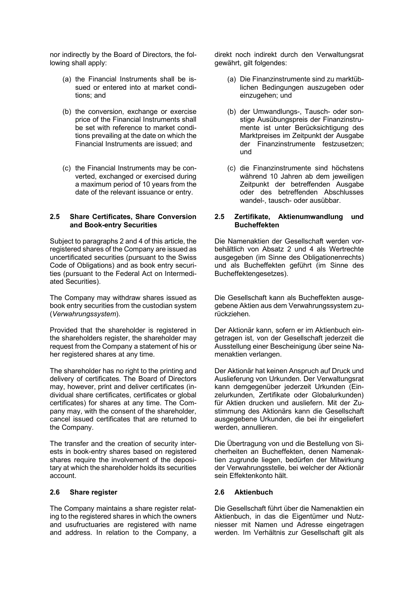nor indirectly by the Board of Directors, the following shall apply:

- (a) the Financial Instruments shall be issued or entered into at market conditions; and
- (b) the conversion, exchange or exercise price of the Financial Instruments shall be set with reference to market conditions prevailing at the date on which the Financial Instruments are issued; and
- (c) the Financial Instruments may be converted, exchanged or exercised during a maximum period of 10 years from the date of the relevant issuance or entry.

# **2.5 Share Certificates, Share Conversion and Book-entry Securities**

Subject to paragraphs 2 and 4 of this article, the registered shares of the Company are issued as uncertificated securities (pursuant to the Swiss Code of Obligations) and as book entry securities (pursuant to the Federal Act on Intermediated Securities).

The Company may withdraw shares issued as book entry securities from the custodian system (*Verwahrungssystem*).

Provided that the shareholder is registered in the shareholders register, the shareholder may request from the Company a statement of his or her registered shares at any time.

The shareholder has no right to the printing and delivery of certificates. The Board of Directors may, however, print and deliver certificates (individual share certificates, certificates or global certificates) for shares at any time. The Company may, with the consent of the shareholder, cancel issued certificates that are returned to the Company.

The transfer and the creation of security interests in book-entry shares based on registered shares require the involvement of the depositary at which the shareholder holds its securities account.

## **2.6 Share register 2.6 Aktienbuch**

The Company maintains a share register relating to the registered shares in which the owners and usufructuaries are registered with name and address. In relation to the Company, a

direkt noch indirekt durch den Verwaltungsrat gewährt, gilt folgendes:

- (a) Die Finanzinstrumente sind zu marktüblichen Bedingungen auszugeben oder einzugehen; und
- (b) der Umwandlungs-, Tausch- oder sonstige Ausübungspreis der Finanzinstrumente ist unter Berücksichtigung des Marktpreises im Zeitpunkt der Ausgabe der Finanzinstrumente festzusetzen; und
- (c) die Finanzinstrumente sind höchstens während 10 Jahren ab dem jeweiligen Zeitpunkt der betreffenden Ausgabe oder des betreffenden Abschlusses wandel-, tausch- oder ausübbar.

# **2.5 Zertifikate, Aktienumwandlung und Bucheffekten**

Die Namenaktien der Gesellschaft werden vorbehältlich von Absatz 2 und 4 als Wertrechte ausgegeben (im Sinne des Obligationenrechts) und als Bucheffekten geführt (im Sinne des Bucheffektengesetzes).

Die Gesellschaft kann als Bucheffekten ausgegebene Aktien aus dem Verwahrungssystem zurückziehen.

Der Aktionär kann, sofern er im Aktienbuch eingetragen ist, von der Gesellschaft jederzeit die Ausstellung einer Bescheinigung über seine Namenaktien verlangen.

Der Aktionär hat keinen Anspruch auf Druck und Auslieferung von Urkunden. Der Verwaltungsrat kann demgegenüber jederzeit Urkunden (Einzelurkunden, Zertifikate oder Globalurkunden) für Aktien drucken und ausliefern. Mit der Zustimmung des Aktionärs kann die Gesellschaft ausgegebene Urkunden, die bei ihr eingeliefert werden, annullieren.

Die Übertragung von und die Bestellung von Sicherheiten an Bucheffekten, denen Namenaktien zugrunde liegen, bedürfen der Mitwirkung der Verwahrungsstelle, bei welcher der Aktionär sein Effektenkonto hält.

 Die Gesellschaft führt über die Namenaktien ein Aktienbuch, in das die Eigentümer und Nutzniesser mit Namen und Adresse eingetragen werden. Im Verhältnis zur Gesellschaft gilt als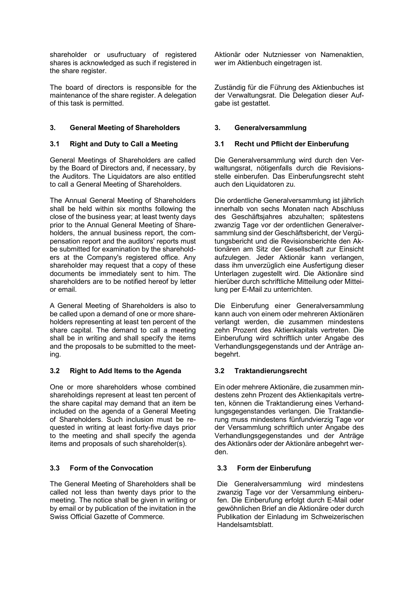shareholder or usufructuary of registered shares is acknowledged as such if registered in the share register.

The board of directors is responsible for the maintenance of the share register. A delegation of this task is permitted.

# **3. General Meeting of Shareholders 3. Generalversammlung**

General Meetings of Shareholders are called by the Board of Directors and, if necessary, by the Auditors. The Liquidators are also entitled to call a General Meeting of Shareholders.

The Annual General Meeting of Shareholders shall be held within six months following the close of the business year; at least twenty days prior to the Annual General Meeting of Shareholders, the annual business report, the compensation report and the auditors' reports must be submitted for examination by the shareholders at the Company's registered office. Any shareholder may request that a copy of these documents be immediately sent to him. The shareholders are to be notified hereof by letter or email.

A General Meeting of Shareholders is also to be called upon a demand of one or more shareholders representing at least ten percent of the share capital. The demand to call a meeting shall be in writing and shall specify the items and the proposals to be submitted to the meeting.

# **3.2 Right to Add Items to the Agenda 3.2 Traktandierungsrecht**

One or more shareholders whose combined shareholdings represent at least ten percent of the share capital may demand that an item be included on the agenda of a General Meeting of Shareholders. Such inclusion must be requested in writing at least forty-five days prior to the meeting and shall specify the agenda items and proposals of such shareholder(s).

# **3.3 Form of the Convocation 3.3 Form der Einberufung**

The General Meeting of Shareholders shall be called not less than twenty days prior to the meeting. The notice shall be given in writing or by email or by publication of the invitation in the Swiss Official Gazette of Commerce.

Aktionär oder Nutzniesser von Namenaktien, wer im Aktienbuch eingetragen ist.

Zuständig für die Führung des Aktienbuches ist der Verwaltungsrat. Die Delegation dieser Aufgabe ist gestattet.

# **3.1 Right and Duty to Call a Meeting 3.1 Recht und Pflicht der Einberufung**

Die Generalversammlung wird durch den Verwaltungsrat, nötigenfalls durch die Revisionsstelle einberufen. Das Einberufungsrecht steht auch den Liquidatoren zu.

Die ordentliche Generalversammlung ist jährlich innerhalb von sechs Monaten nach Abschluss des Geschäftsjahres abzuhalten; spätestens zwanzig Tage vor der ordentlichen Generalversammlung sind der Geschäftsbericht, der Vergütungsbericht und die Revisionsberichte den Aktionären am Sitz der Gesellschaft zur Einsicht aufzulegen. Jeder Aktionär kann verlangen, dass ihm unverzüglich eine Ausfertigung dieser Unterlagen zugestellt wird. Die Aktionäre sind hierüber durch schriftliche Mitteilung oder Mitteilung per E-Mail zu unterrichten.

Die Einberufung einer Generalversammlung kann auch von einem oder mehreren Aktionären verlangt werden, die zusammen mindestens zehn Prozent des Aktienkapitals vertreten. Die Einberufung wird schriftlich unter Angabe des Verhandlungsgegenstands und der Anträge anbegehrt.

Ein oder mehrere Aktionäre, die zusammen mindestens zehn Prozent des Aktienkapitals vertreten, können die Traktandierung eines Verhandlungsgegenstandes verlangen. Die Traktandierung muss mindestens fünfundvierzig Tage vor der Versammlung schriftlich unter Angabe des Verhandlungsgegenstandes und der Anträge des Aktionärs oder der Aktionäre anbegehrt werden.

Die Generalversammlung wird mindestens zwanzig Tage vor der Versammlung einberufen. Die Einberufung erfolgt durch E-Mail oder gewöhnlichen Brief an die Aktionäre oder durch Publikation der Einladung im Schweizerischen Handelsamtsblatt.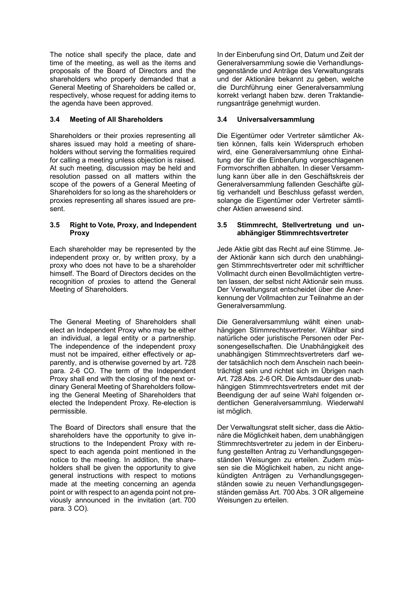The notice shall specify the place, date and time of the meeting, as well as the items and proposals of the Board of Directors and the shareholders who properly demanded that a General Meeting of Shareholders be called or, respectively, whose request for adding items to the agenda have been approved.

# **3.4 Meeting of All Shareholders 3.4 Universalversammlung**

Shareholders or their proxies representing all shares issued may hold a meeting of shareholders without serving the formalities required for calling a meeting unless objection is raised. At such meeting, discussion may be held and resolution passed on all matters within the scope of the powers of a General Meeting of Shareholders for so long as the shareholders or proxies representing all shares issued are present.

## **3.5 Right to Vote, Proxy, and Independent Proxy**

Each shareholder may be represented by the independent proxy or, by written proxy, by a proxy who does not have to be a shareholder himself. The Board of Directors decides on the recognition of proxies to attend the General Meeting of Shareholders.

The General Meeting of Shareholders shall elect an Independent Proxy who may be either an individual, a legal entity or a partnership. The independence of the independent proxy must not be impaired, either effectively or apparently, and is otherwise governed by art. 728 para. 2-6 CO. The term of the Independent Proxy shall end with the closing of the next ordinary General Meeting of Shareholders following the General Meeting of Shareholders that elected the Independent Proxy. Re-election is permissible.

The Board of Directors shall ensure that the shareholders have the opportunity to give instructions to the Independent Proxy with respect to each agenda point mentioned in the notice to the meeting. In addition, the shareholders shall be given the opportunity to give general instructions with respect to motions made at the meeting concerning an agenda point or with respect to an agenda point not previously announced in the invitation (art. 700 para. 3 CO).

In der Einberufung sind Ort, Datum und Zeit der Generalversammlung sowie die Verhandlungsgegenstände und Anträge des Verwaltungsrats und der Aktionäre bekannt zu geben, welche die Durchführung einer Generalversammlung korrekt verlangt haben bzw. deren Traktandierungsanträge genehmigt wurden.

Die Eigentümer oder Vertreter sämtlicher Aktien können, falls kein Widerspruch erhoben wird, eine Generalversammlung ohne Einhaltung der für die Einberufung vorgeschlagenen Formvorschriften abhalten. In dieser Versammlung kann über alle in den Geschäftskreis der Generalversammlung fallenden Geschäfte gültig verhandelt und Beschluss gefasst werden, solange die Eigentümer oder Vertreter sämtlicher Aktien anwesend sind.

## **3.5 Stimmrecht, Stellvertretung und unabhängiger Stimmrechtsvertreter**

Jede Aktie gibt das Recht auf eine Stimme. Jeder Aktionär kann sich durch den unabhängigen Stimmrechtsvertreter oder mit schriftlicher Vollmacht durch einen Bevollmächtigten vertreten lassen, der selbst nicht Aktionär sein muss. Der Verwaltungsrat entscheidet über die Anerkennung der Vollmachten zur Teilnahme an der Generalversammlung.

Die Generalversammlung wählt einen unabhängigen Stimmrechtsvertreter. Wählbar sind natürliche oder juristische Personen oder Personengesellschaften. Die Unabhängigkeit des unabhängigen Stimmrechtsvertreters darf weder tatsächlich noch dem Anschein nach beeinträchtigt sein und richtet sich im Übrigen nach Art. 728 Abs. 2-6 OR. Die Amtsdauer des unabhängigen Stimmrechtsvertreters endet mit der Beendigung der auf seine Wahl folgenden ordentlichen Generalversammlung. Wiederwahl ist möglich.

Der Verwaltungsrat stellt sicher, dass die Aktionäre die Möglichkeit haben, dem unabhängigen Stimmrechtsvertreter zu jedem in der Einberufung gestellten Antrag zu Verhandlungsgegenständen Weisungen zu erteilen. Zudem müssen sie die Möglichkeit haben, zu nicht angekündigten Anträgen zu Verhandlungsgegenständen sowie zu neuen Verhandlungsgegenständen gemäss Art. 700 Abs. 3 OR allgemeine Weisungen zu erteilen.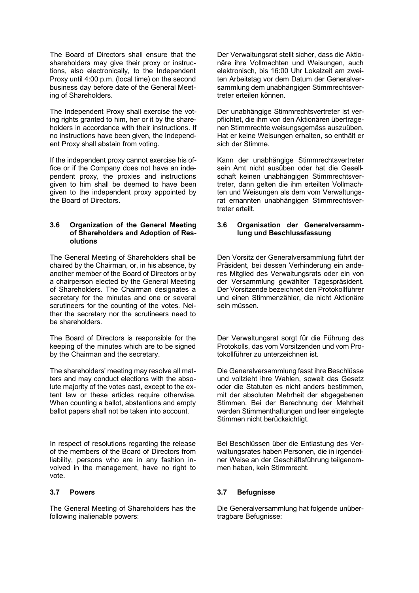The Board of Directors shall ensure that the shareholders may give their proxy or instructions, also electronically, to the Independent Proxy until 4:00 p.m. (local time) on the second business day before date of the General Meeting of Shareholders.

The Independent Proxy shall exercise the voting rights granted to him, her or it by the shareholders in accordance with their instructions. If no instructions have been given, the Independent Proxy shall abstain from voting.

If the independent proxy cannot exercise his office or if the Company does not have an independent proxy, the proxies and instructions given to him shall be deemed to have been given to the independent proxy appointed by the Board of Directors.

### **3.6 Organization of the General Meeting of Shareholders and Adoption of Resolutions**

The General Meeting of Shareholders shall be chaired by the Chairman, or, in his absence, by another member of the Board of Directors or by a chairperson elected by the General Meeting of Shareholders. The Chairman designates a secretary for the minutes and one or several scrutineers for the counting of the votes. Neither the secretary nor the scrutineers need to be shareholders.

The Board of Directors is responsible for the keeping of the minutes which are to be signed by the Chairman and the secretary.

The shareholders' meeting may resolve all matters and may conduct elections with the absolute majority of the votes cast, except to the extent law or these articles require otherwise. When counting a ballot, abstentions and empty ballot papers shall not be taken into account.

In respect of resolutions regarding the release of the members of the Board of Directors from liability, persons who are in any fashion involved in the management, have no right to vote.

The General Meeting of Shareholders has the following inalienable powers:

Der Verwaltungsrat stellt sicher, dass die Aktionäre ihre Vollmachten und Weisungen, auch elektronisch, bis 16:00 Uhr Lokalzeit am zweiten Arbeitstag vor dem Datum der Generalversammlung dem unabhängigen Stimmrechtsvertreter erteilen können.

Der unabhängige Stimmrechtsvertreter ist verpflichtet, die ihm von den Aktionären übertragenen Stimmrechte weisungsgemäss auszuüben. Hat er keine Weisungen erhalten, so enthält er sich der Stimme.

Kann der unabhängige Stimmrechtsvertreter sein Amt nicht ausüben oder hat die Gesellschaft keinen unabhängigen Stimmrechtsvertreter, dann gelten die ihm erteilten Vollmachten und Weisungen als dem vom Verwaltungsrat ernannten unabhängigen Stimmrechtsvertreter erteilt.

### **3.6 Organisation der Generalversammlung und Beschlussfassung**

Den Vorsitz der Generalversammlung führt der Präsident, bei dessen Verhinderung ein anderes Mitglied des Verwaltungsrats oder ein von der Versammlung gewählter Tagespräsident. Der Vorsitzende bezeichnet den Protokollführer und einen Stimmenzähler, die nicht Aktionäre sein müssen.

Der Verwaltungsrat sorgt für die Führung des Protokolls, das vom Vorsitzenden und vom Protokollführer zu unterzeichnen ist.

Die Generalversammlung fasst ihre Beschlüsse und vollzieht ihre Wahlen, soweit das Gesetz oder die Statuten es nicht anders bestimmen, mit der absoluten Mehrheit der abgegebenen Stimmen. Bei der Berechnung der Mehrheit werden Stimmenthaltungen und leer eingelegte Stimmen nicht berücksichtigt.

Bei Beschlüssen über die Entlastung des Verwaltungsrates haben Personen, die in irgendeiner Weise an der Geschäftsführung teilgenommen haben, kein Stimmrecht.

### **3.7 Powers 3.7 Befugnisse**

Die Generalversammlung hat folgende unübertragbare Befugnisse: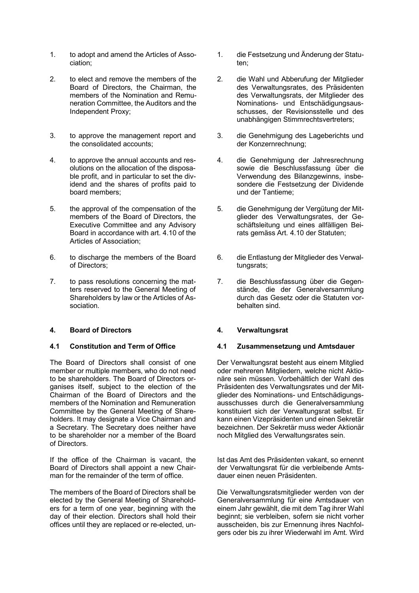- 1. to adopt and amend the Articles of Association;
- 2. to elect and remove the members of the Board of Directors, the Chairman, the members of the Nomination and Remuneration Committee, the Auditors and the Independent Proxy;
- 3. to approve the management report and the consolidated accounts;
- 4. to approve the annual accounts and resolutions on the allocation of the disposable profit, and in particular to set the dividend and the shares of profits paid to board members;
- 5. the approval of the compensation of the members of the Board of Directors, the Executive Committee and any Advisory Board in accordance with art. 4.10 of the Articles of Association;
- 6. to discharge the members of the Board of Directors;
- 7. to pass resolutions concerning the matters reserved to the General Meeting of Shareholders by law or the Articles of Association.

# **4. Board of Directors 4. Verwaltungsrat**

The Board of Directors shall consist of one member or multiple members, who do not need to be shareholders. The Board of Directors organises itself, subject to the election of the Chairman of the Board of Directors and the members of the Nomination and Remuneration Committee by the General Meeting of Shareholders. It may designate a Vice Chairman and a Secretary. The Secretary does neither have to be shareholder nor a member of the Board of Directors.

If the office of the Chairman is vacant, the Board of Directors shall appoint a new Chairman for the remainder of the term of office.

The members of the Board of Directors shall be elected by the General Meeting of Shareholders for a term of one year, beginning with the day of their election. Directors shall hold their offices until they are replaced or re-elected, un-

- 1. die Festsetzung und Änderung der Statuten;
- 2. die Wahl und Abberufung der Mitglieder des Verwaltungsrates, des Präsidenten des Verwaltungsrats, der Mitglieder des Nominations- und Entschädigungsausschusses, der Revisionsstelle und des unabhängigen Stimmrechtsvertreters;
- 3. die Genehmigung des Lageberichts und der Konzernrechnung;
- 4. die Genehmigung der Jahresrechnung sowie die Beschlussfassung über die Verwendung des Bilanzgewinns, insbesondere die Festsetzung der Dividende und der Tantieme;
- 5. die Genehmigung der Vergütung der Mitglieder des Verwaltungsrates, der Geschäftsleitung und eines allfälligen Beirats gemäss Art. 4.10 der Statuten;
- 6. die Entlastung der Mitglieder des Verwaltungsrats:
- 7. die Beschlussfassung über die Gegenstände, die der Generalversammlung durch das Gesetz oder die Statuten vorbehalten sind.

# **4.1 Constitution and Term of Office 4.1 Zusammensetzung und Amtsdauer**

Der Verwaltungsrat besteht aus einem Mitglied oder mehreren Mitgliedern, welche nicht Aktionäre sein müssen. Vorbehältlich der Wahl des Präsidenten des Verwaltungsrates und der Mitglieder des Nominations- und Entschädigungsausschusses durch die Generalversammlung konstituiert sich der Verwaltungsrat selbst. Er kann einen Vizepräsidenten und einen Sekretär bezeichnen. Der Sekretär muss weder Aktionär noch Mitglied des Verwaltungsrates sein.

Ist das Amt des Präsidenten vakant, so ernennt der Verwaltungsrat für die verbleibende Amtsdauer einen neuen Präsidenten.

Die Verwaltungsratsmitglieder werden von der Generalversammlung für eine Amtsdauer von einem Jahr gewählt, die mit dem Tag ihrer Wahl beginnt; sie verbleiben, sofern sie nicht vorher ausscheiden, bis zur Ernennung ihres Nachfolgers oder bis zu ihrer Wiederwahl im Amt. Wird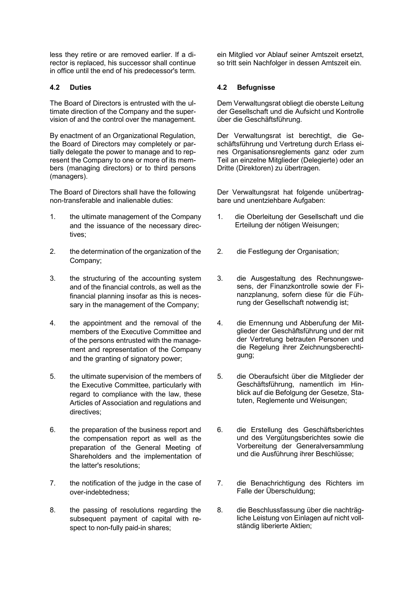less they retire or are removed earlier. If a director is replaced, his successor shall continue in office until the end of his predecessor's term.

The Board of Directors is entrusted with the ultimate direction of the Company and the supervision of and the control over the management.

By enactment of an Organizational Regulation, the Board of Directors may completely or partially delegate the power to manage and to represent the Company to one or more of its members (managing directors) or to third persons (managers).

The Board of Directors shall have the following non-transferable and inalienable duties:

- 1. the ultimate management of the Company and the issuance of the necessary directives;
- 2. the determination of the organization of the Company;
- 3. the structuring of the accounting system and of the financial controls, as well as the financial planning insofar as this is necessary in the management of the Company;
- 4. the appointment and the removal of the members of the Executive Committee and of the persons entrusted with the management and representation of the Company and the granting of signatory power;
- 5. the ultimate supervision of the members of the Executive Committee, particularly with regard to compliance with the law, these Articles of Association and regulations and directives;
- 6. the preparation of the business report and the compensation report as well as the preparation of the General Meeting of Shareholders and the implementation of the latter's resolutions;
- 7. the notification of the judge in the case of over-indebtedness;
- 8. the passing of resolutions regarding the subsequent payment of capital with respect to non-fully paid-in shares;

ein Mitglied vor Ablauf seiner Amtszeit ersetzt, so tritt sein Nachfolger in dessen Amtszeit ein.

## **4.2 Duties 4.2 Befugnisse**

Dem Verwaltungsrat obliegt die oberste Leitung der Gesellschaft und die Aufsicht und Kontrolle über die Geschäftsführung.

Der Verwaltungsrat ist berechtigt, die Geschäftsführung und Vertretung durch Erlass eines Organisationsreglements ganz oder zum Teil an einzelne Mitglieder (Delegierte) oder an Dritte (Direktoren) zu übertragen.

Der Verwaltungsrat hat folgende unübertragbare und unentziehbare Aufgaben:

- 1. die Oberleitung der Gesellschaft und die Erteilung der nötigen Weisungen;
- 2. die Festlegung der Organisation;
- 3. die Ausgestaltung des Rechnungswesens, der Finanzkontrolle sowie der Finanzplanung, sofern diese für die Führung der Gesellschaft notwendig ist;
- 4. die Ernennung und Abberufung der Mitglieder der Geschäftsführung und der mit der Vertretung betrauten Personen und die Regelung ihrer Zeichnungsberechtigung;
- 5. die Oberaufsicht über die Mitglieder der Geschäftsführung, namentlich im Hinblick auf die Befolgung der Gesetze, Statuten, Reglemente und Weisungen;
- 6. die Erstellung des Geschäftsberichtes und des Vergütungsberichtes sowie die Vorbereitung der Generalversammlung und die Ausführung ihrer Beschlüsse;
- 7. die Benachrichtigung des Richters im Falle der Überschuldung;
- 8. die Beschlussfassung über die nachträgliche Leistung von Einlagen auf nicht vollständig liberierte Aktien;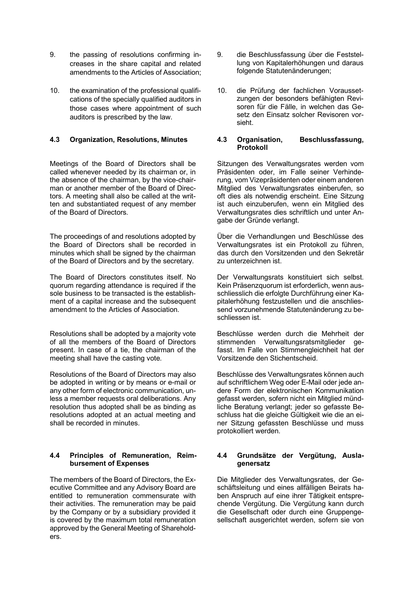- 9. the passing of resolutions confirming increases in the share capital and related amendments to the Articles of Association;
- 10. the examination of the professional qualifications of the specially qualified auditors in those cases where appointment of such auditors is prescribed by the law.

Meetings of the Board of Directors shall be called whenever needed by its chairman or, in the absence of the chairman, by the vice-chairman or another member of the Board of Directors. A meeting shall also be called at the written and substantiated request of any member of the Board of Directors.

The proceedings of and resolutions adopted by the Board of Directors shall be recorded in minutes which shall be signed by the chairman of the Board of Directors and by the secretary.

The Board of Directors constitutes itself. No quorum regarding attendance is required if the sole business to be transacted is the establishment of a capital increase and the subsequent amendment to the Articles of Association.

Resolutions shall be adopted by a majority vote of all the members of the Board of Directors present. In case of a tie, the chairman of the meeting shall have the casting vote.

Resolutions of the Board of Directors may also be adopted in writing or by means or e-mail or any other form of electronic communication, unless a member requests oral deliberations. Any resolution thus adopted shall be as binding as resolutions adopted at an actual meeting and shall be recorded in minutes.

# **4.4 Principles of Remuneration, Reimbursement of Expenses**

The members of the Board of Directors, the Executive Committee and any Advisory Board are entitled to remuneration commensurate with their activities. The remuneration may be paid by the Company or by a subsidiary provided it is covered by the maximum total remuneration approved by the General Meeting of Shareholders.

- 9. die Beschlussfassung über die Feststellung von Kapitalerhöhungen und daraus folgende Statutenänderungen;
- 10. die Prüfung der fachlichen Voraussetzungen der besonders befähigten Revisoren für die Fälle, in welchen das Gesetz den Einsatz solcher Revisoren vorsieht.

### **4.3 Organization, Resolutions, Minutes 4.3 Organisation, Beschlussfassung, Protokoll**

Sitzungen des Verwaltungsrates werden vom Präsidenten oder, im Falle seiner Verhinderung, vom Vizepräsidenten oder einem anderen Mitglied des Verwaltungsrates einberufen, so oft dies als notwendig erscheint. Eine Sitzung ist auch einzuberufen, wenn ein Mitglied des Verwaltungsrates dies schriftlich und unter Angabe der Gründe verlangt.

Über die Verhandlungen und Beschlüsse des Verwaltungsrates ist ein Protokoll zu führen, das durch den Vorsitzenden und den Sekretär zu unterzeichnen ist.

Der Verwaltungsrats konstituiert sich selbst. Kein Präsenzquorum ist erforderlich, wenn ausschliesslich die erfolgte Durchführung einer Kapitalerhöhung festzustellen und die anschliessend vorzunehmende Statutenänderung zu beschliessen ist.

Beschlüsse werden durch die Mehrheit der stimmenden Verwaltungsratsmitglieder gefasst. Im Falle von Stimmengleichheit hat der Vorsitzende den Stichentscheid.

Beschlüsse des Verwaltungsrates können auch auf schriftlichem Weg oder E-Mail oder jede andere Form der elektronischen Kommunikation gefasst werden, sofern nicht ein Mitglied mündliche Beratung verlangt; jeder so gefasste Beschluss hat die gleiche Gültigkeit wie die an einer Sitzung gefassten Beschlüsse und muss protokolliert werden.

# **4.4 Grundsätze der Vergütung, Auslagenersatz**

Die Mitglieder des Verwaltungsrates, der Geschäftsleitung und eines allfälligen Beirats haben Anspruch auf eine ihrer Tätigkeit entsprechende Vergütung. Die Vergütung kann durch die Gesellschaft oder durch eine Gruppengesellschaft ausgerichtet werden, sofern sie von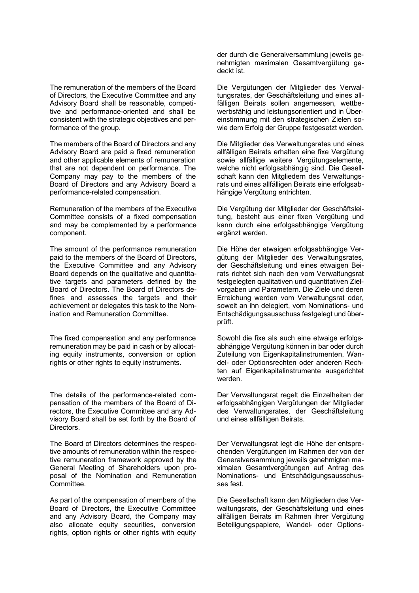The remuneration of the members of the Board of Directors, the Executive Committee and any Advisory Board shall be reasonable, competitive and performance-oriented and shall be consistent with the strategic objectives and performance of the group.

The members of the Board of Directors and any Advisory Board are paid a fixed remuneration and other applicable elements of remuneration that are not dependent on performance. The Company may pay to the members of the Board of Directors and any Advisory Board a performance-related compensation.

Remuneration of the members of the Executive Committee consists of a fixed compensation and may be complemented by a performance component.

The amount of the performance remuneration paid to the members of the Board of Directors, the Executive Committee and any Advisory Board depends on the qualitative and quantitative targets and parameters defined by the Board of Directors. The Board of Directors defines and assesses the targets and their achievement or delegates this task to the Nomination and Remuneration Committee.

The fixed compensation and any performance remuneration may be paid in cash or by allocating equity instruments, conversion or option rights or other rights to equity instruments.

The details of the performance-related compensation of the members of the Board of Directors, the Executive Committee and any Advisory Board shall be set forth by the Board of Directors.

The Board of Directors determines the respective amounts of remuneration within the respective remuneration framework approved by the General Meeting of Shareholders upon proposal of the Nomination and Remuneration Committee.

As part of the compensation of members of the Board of Directors, the Executive Committee and any Advisory Board, the Company may also allocate equity securities, conversion rights, option rights or other rights with equity

der durch die Generalversammlung jeweils genehmigten maximalen Gesamtvergütung gedeckt ist.

Die Vergütungen der Mitglieder des Verwaltungsrates, der Geschäftsleitung und eines allfälligen Beirats sollen angemessen, wettbewerbsfähig und leistungsorientiert und in Übereinstimmung mit den strategischen Zielen sowie dem Erfolg der Gruppe festgesetzt werden.

Die Mitglieder des Verwaltungsrates und eines allfälligen Beirats erhalten eine fixe Vergütung sowie allfällige weitere Vergütungselemente, welche nicht erfolgsabhängig sind. Die Gesellschaft kann den Mitgliedern des Verwaltungsrats und eines allfälligen Beirats eine erfolgsabhängige Vergütung entrichten.

Die Vergütung der Mitglieder der Geschäftsleitung, besteht aus einer fixen Vergütung und kann durch eine erfolgsabhängige Vergütung ergänzt werden.

Die Höhe der etwaigen erfolgsabhängige Vergütung der Mitglieder des Verwaltungsrates, der Geschäftsleitung und eines etwaigen Beirats richtet sich nach den vom Verwaltungsrat festgelegten qualitativen und quantitativen Zielvorgaben und Parametern. Die Ziele und deren Erreichung werden vom Verwaltungsrat oder, soweit an ihn delegiert, vom Nominations- und Entschädigungsausschuss festgelegt und überprüft.

Sowohl die fixe als auch eine etwaige erfolgsabhängige Vergütung können in bar oder durch Zuteilung von Eigenkapitalinstrumenten, Wandel- oder Optionsrechten oder anderen Rechten auf Eigenkapitalinstrumente ausgerichtet werden.

Der Verwaltungsrat regelt die Einzelheiten der erfolgsabhängigen Vergütungen der Mitglieder des Verwaltungsrates, der Geschäftsleitung und eines allfälligen Beirats.

Der Verwaltungsrat legt die Höhe der entsprechenden Vergütungen im Rahmen der von der Generalversammlung jeweils genehmigten maximalen Gesamtvergütungen auf Antrag des Nominations- und Entschädigungsausschusses fest.

Die Gesellschaft kann den Mitgliedern des Verwaltungsrats, der Geschäftsleitung und eines allfälligen Beirats im Rahmen ihrer Vergütung Beteiligungspapiere, Wandel- oder Options-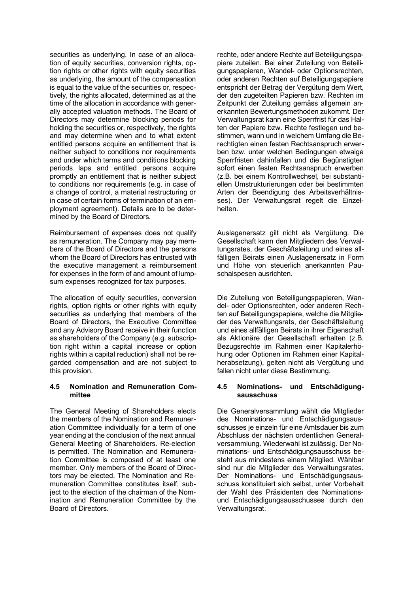securities as underlying. In case of an allocation of equity securities, conversion rights, option rights or other rights with equity securities as underlying, the amount of the compensation is equal to the value of the securities or, respectively, the rights allocated, determined as at the time of the allocation in accordance with generally accepted valuation methods. The Board of Directors may determine blocking periods for holding the securities or, respectively, the rights and may determine when and to what extent entitled persons acquire an entitlement that is neither subject to conditions nor requirements and under which terms and conditions blocking periods laps and entitled persons acquire promptly an entitlement that is neither subject to conditions nor requirements (e.g. in case of a change of control, a material restructuring or in case of certain forms of termination of an employment agreement). Details are to be determined by the Board of Directors.

Reimbursement of expenses does not qualify as remuneration. The Company may pay members of the Board of Directors and the persons whom the Board of Directors has entrusted with the executive management a reimbursement for expenses in the form of and amount of lumpsum expenses recognized for tax purposes.

The allocation of equity securities, conversion rights, option rights or other rights with equity securities as underlying that members of the Board of Directors, the Executive Committee and any Advisory Board receive in their function as shareholders of the Company (e.g. subscription right within a capital increase or option rights within a capital reduction) shall not be regarded compensation and are not subject to this provision.

## **4.5 Nomination and Remuneration Committee**

The General Meeting of Shareholders elects the members of the Nomination and Remuneration Committee individually for a term of one year ending at the conclusion of the next annual General Meeting of Shareholders. Re-election is permitted. The Nomination and Remuneration Committee is composed of at least one member. Only members of the Board of Directors may be elected. The Nomination and Remuneration Committee constitutes itself, subject to the election of the chairman of the Nomination and Remuneration Committee by the Board of Directors.

rechte, oder andere Rechte auf Beteiligungspapiere zuteilen. Bei einer Zuteilung von Beteiligungspapieren, Wandel- oder Optionsrechten, oder anderen Rechten auf Beteiligungspapiere entspricht der Betrag der Vergütung dem Wert, der den zugeteilten Papieren bzw. Rechten im Zeitpunkt der Zuteilung gemäss allgemein anerkannten Bewertungsmethoden zukommt. Der Verwaltungsrat kann eine Sperrfrist für das Halten der Papiere bzw. Rechte festlegen und bestimmen, wann und in welchem Umfang die Berechtigten einen festen Rechtsanspruch erwerben bzw. unter welchen Bedingungen etwaige Sperrfristen dahinfallen und die Begünstigten sofort einen festen Rechtsanspruch erwerben (z.B. bei einem Kontrollwechsel, bei substantiellen Umstrukturierungen oder bei bestimmten Arten der Beendigung des Arbeitsverhältnisses). Der Verwaltungsrat regelt die Einzelheiten.

Auslagenersatz gilt nicht als Vergütung. Die Gesellschaft kann den Mitgliedern des Verwaltungsrates, der Geschäftsleitung und eines allfälligen Beirats einen Auslagenersatz in Form und Höhe von steuerlich anerkannten Pauschalspesen ausrichten.

Die Zuteilung von Beteiligungspapieren, Wandel- oder Optionsrechten, oder anderen Rechten auf Beteiligungspapiere, welche die Mitglieder des Verwaltungsrats, der Geschäftsleitung und eines allfälligen Beirats in ihrer Eigenschaft als Aktionäre der Gesellschaft erhalten (z.B. Bezugsrechte im Rahmen einer Kapitalerhöhung oder Optionen im Rahmen einer Kapitalherabsetzung), gelten nicht als Vergütung und fallen nicht unter diese Bestimmung.

## **4.5 Nominations- und Entschädigungsausschuss**

Die Generalversammlung wählt die Mitglieder des Nominations- und Entschädigungsausschusses je einzeln für eine Amtsdauer bis zum Abschluss der nächsten ordentlichen Generalversammlung. Wiederwahl ist zulässig. Der Nominations- und Entschädigungsausschuss besteht aus mindestens einem Mitglied. Wählbar sind nur die Mitglieder des Verwaltungsrates. Der Nominations- und Entschädigungsausschuss konstituiert sich selbst, unter Vorbehalt der Wahl des Präsidenten des Nominationsund Entschädigungsausschusses durch den Verwaltungsrat.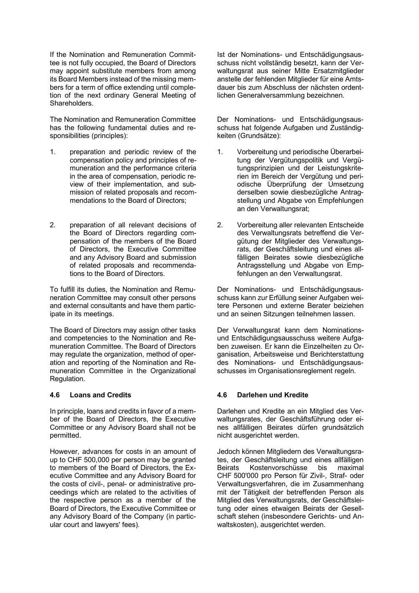If the Nomination and Remuneration Committee is not fully occupied, the Board of Directors may appoint substitute members from among its Board Members instead of the missing members for a term of office extending until completion of the next ordinary General Meeting of Shareholders.

The Nomination and Remuneration Committee has the following fundamental duties and responsibilities (principles):

- 1. preparation and periodic review of the compensation policy and principles of remuneration and the performance criteria in the area of compensation, periodic review of their implementation, and submission of related proposals and recommendations to the Board of Directors;
- 2. preparation of all relevant decisions of the Board of Directors regarding compensation of the members of the Board of Directors, the Executive Committee and any Advisory Board and submission of related proposals and recommendations to the Board of Directors.

To fulfill its duties, the Nomination and Remuneration Committee may consult other persons and external consultants and have them participate in its meetings.

The Board of Directors may assign other tasks and competencies to the Nomination and Remuneration Committee. The Board of Directors may regulate the organization, method of operation and reporting of the Nomination and Remuneration Committee in the Organizational Regulation.

In principle, loans and credits in favor of a member of the Board of Directors, the Executive Committee or any Advisory Board shall not be permitted.

However, advances for costs in an amount of up to CHF 500,000 per person may be granted to members of the Board of Directors, the Executive Committee and any Advisory Board for the costs of civil-, penal- or administrative proceedings which are related to the activities of the respective person as a member of the Board of Directors, the Executive Committee or any Advisory Board of the Company (in particular court and lawyers' fees).

Ist der Nominations- und Entschädigungsausschuss nicht vollständig besetzt, kann der Verwaltungsrat aus seiner Mitte Ersatzmitglieder anstelle der fehlenden Mitglieder für eine Amtsdauer bis zum Abschluss der nächsten ordentlichen Generalversammlung bezeichnen.

Der Nominations- und Entschädigungsausschuss hat folgende Aufgaben und Zuständigkeiten (Grundsätze):

- 1. Vorbereitung und periodische Überarbeitung der Vergütungspolitik und Vergütungsprinzipien und der Leistungskriterien im Bereich der Vergütung und periodische Überprüfung der Umsetzung derselben sowie diesbezügliche Antragstellung und Abgabe von Empfehlungen an den Verwaltungsrat;
- 2. Vorbereitung aller relevanten Entscheide des Verwaltungsrats betreffend die Vergütung der Mitglieder des Verwaltungsrats, der Geschäftsleitung und eines allfälligen Beirates sowie diesbezügliche Antragsstellung und Abgabe von Empfehlungen an den Verwaltungsrat.

Der Nominations- und Entschädigungsausschuss kann zur Erfüllung seiner Aufgaben weitere Personen und externe Berater beiziehen und an seinen Sitzungen teilnehmen lassen.

 Der Verwaltungsrat kann dem Nominationsund Entschädigungsausschuss weitere Aufgaben zuweisen. Er kann die Einzelheiten zu Organisation, Arbeitsweise und Berichterstattung des Nominations- und Entschädigungsausschusses im Organisationsreglement regeln.

## **4.6 Loans and Credits 4.6 Darlehen und Kredite**

 Darlehen und Kredite an ein Mitglied des Verwaltungsrates, der Geschäftsführung oder eines allfälligen Beirates dürfen grundsätzlich nicht ausgerichtet werden.

 Jedoch können Mitgliedern des Verwaltungsrates, der Geschäftsleitung und eines allfälligen<br>Beirats Kostenvorschüsse bis maximal Beirats Kostenvorschüsse bis maximal CHF 500'000 pro Person für Zivil-, Straf- oder Verwaltungsverfahren, die im Zusammenhang mit der Tätigkeit der betreffenden Person als Mitglied des Verwaltungsrats, der Geschäftsleitung oder eines etwaigen Beirats der Gesellschaft stehen (insbesondere Gerichts- und Anwaltskosten), ausgerichtet werden.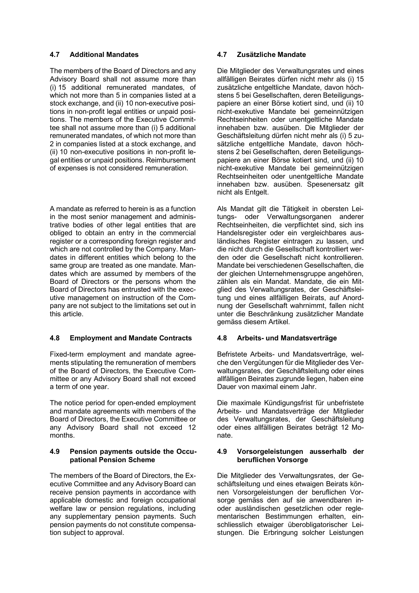The members of the Board of Directors and any Advisory Board shall not assume more than (i) 15 additional remunerated mandates, of which not more than 5 in companies listed at a stock exchange, and (ii) 10 non-executive positions in non-profit legal entities or unpaid positions. The members of the Executive Committee shall not assume more than (i) 5 additional remunerated mandates, of which not more than 2 in companies listed at a stock exchange, and (ii) 10 non-executive positions in non-profit legal entities or unpaid positions. Reimbursement of expenses is not considered remuneration.

A mandate as referred to herein is as a function in the most senior management and administrative bodies of other legal entities that are obliged to obtain an entry in the commercial register or a corresponding foreign register and which are not controlled by the Company. Mandates in different entities which belong to the same group are treated as one mandate. Mandates which are assumed by members of the Board of Directors or the persons whom the Board of Directors has entrusted with the executive management on instruction of the Company are not subject to the limitations set out in this article.

# **4.8 Employment and Mandate Contracts 4.8 Arbeits- und Mandatsverträge**

Fixed-term employment and mandate agreements stipulating the remuneration of members of the Board of Directors, the Executive Committee or any Advisory Board shall not exceed a term of one year.

The notice period for open-ended employment and mandate agreements with members of the Board of Directors, the Executive Committee or any Advisory Board shall not exceed 12 months.

# **4.9 Pension payments outside the Occupational Pension Scheme**

The members of the Board of Directors, the Executive Committee and any Advisory Board can receive pension payments in accordance with applicable domestic and foreign occupational welfare law or pension regulations, including any supplementary pension payments. Such pension payments do not constitute compensation subject to approval.

# **4.7 Additional Mandates 4.7 Zusätzliche Mandate**

Die Mitglieder des Verwaltungsrates und eines allfälligen Beirates dürfen nicht mehr als (i) 15 zusätzliche entgeltliche Mandate, davon höchstens 5 bei Gesellschaften, deren Beteiligungspapiere an einer Börse kotiert sind, und (ii) 10 nicht-exekutive Mandate bei gemeinnützigen Rechtseinheiten oder unentgeltliche Mandate innehaben bzw. ausüben. Die Mitglieder der Geschäftsleitung dürfen nicht mehr als (i) 5 zusätzliche entgeltliche Mandate, davon höchstens 2 bei Gesellschaften, deren Beteiligungspapiere an einer Börse kotiert sind, und (ii) 10 nicht-exekutive Mandate bei gemeinnützigen Rechtseinheiten oder unentgeltliche Mandate innehaben bzw. ausüben. Spesenersatz gilt nicht als Entgelt.

Als Mandat gilt die Tätigkeit in obersten Leitungs- oder Verwaltungsorganen anderer Rechtseinheiten, die verpflichtet sind, sich ins Handelsregister oder ein vergleichbares ausländisches Register eintragen zu lassen, und die nicht durch die Gesellschaft kontrolliert werden oder die Gesellschaft nicht kontrollieren. Mandate bei verschiedenen Gesellschaften, die der gleichen Unternehmensgruppe angehören, zählen als ein Mandat. Mandate, die ein Mitglied des Verwaltungsrates, der Geschäftsleitung und eines allfälligen Beirats, auf Anordnung der Gesellschaft wahrnimmt, fallen nicht unter die Beschränkung zusätzlicher Mandate gemäss diesem Artikel.

 Befristete Arbeits- und Mandatsverträge, welche den Vergütungen für die Mitglieder des Verwaltungsrates, der Geschäftsleitung oder eines allfälligen Beirates zugrunde liegen, haben eine Dauer von maximal einem Jahr.

Die maximale Kündigungsfrist für unbefristete Arbeits- und Mandatsverträge der Mitglieder des Verwaltungsrates, der Geschäftsleitung oder eines allfälligen Beirates beträgt 12 Monate.

## **4.9 Vorsorgeleistungen ausserhalb der beruflichen Vorsorge**

Die Mitglieder des Verwaltungsrates, der Geschäftsleitung und eines etwaigen Beirats können Vorsorgeleistungen der beruflichen Vorsorge gemäss den auf sie anwendbaren inoder ausländischen gesetzlichen oder reglementarischen Bestimmungen erhalten, einschliesslich etwaiger überobligatorischer Leistungen. Die Erbringung solcher Leistungen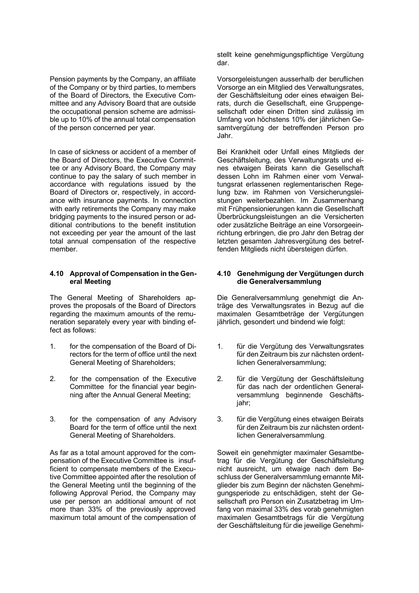Pension payments by the Company, an affiliate of the Company or by third parties, to members of the Board of Directors, the Executive Committee and any Advisory Board that are outside the occupational pension scheme are admissible up to 10% of the annual total compensation of the person concerned per year.

In case of sickness or accident of a member of the Board of Directors, the Executive Committee or any Advisory Board, the Company may continue to pay the salary of such member in accordance with regulations issued by the Board of Directors or, respectively, in accordance with insurance payments. In connection with early retirements the Company may make bridging payments to the insured person or additional contributions to the benefit institution not exceeding per year the amount of the last total annual compensation of the respective member.

### **4.10 Approval of Compensation in the General Meeting**

The General Meeting of Shareholders approves the proposals of the Board of Directors regarding the maximum amounts of the remuneration separately every year with binding effect as follows:

- 1. for the compensation of the Board of Directors for the term of office until the next General Meeting of Shareholders;
- 2. for the compensation of the Executive Committee for the financial year beginning after the Annual General Meeting;
- 3. for the compensation of any Advisory Board for the term of office until the next General Meeting of Shareholders.

As far as a total amount approved for the compensation of the Executive Committee is insufficient to compensate members of the Executive Committee appointed after the resolution of the General Meeting until the beginning of the following Approval Period, the Company may use per person an additional amount of not more than 33% of the previously approved maximum total amount of the compensation of

stellt keine genehmigungspflichtige Vergütung dar.

Vorsorgeleistungen ausserhalb der beruflichen Vorsorge an ein Mitglied des Verwaltungsrates, der Geschäftsleitung oder eines etwaigen Beirats, durch die Gesellschaft, eine Gruppengesellschaft oder einen Dritten sind zulässig im Umfang von höchstens 10% der jährlichen Gesamtvergütung der betreffenden Person pro Jahr.

Bei Krankheit oder Unfall eines Mitglieds der Geschäftsleitung, des Verwaltungsrats und eines etwaigen Beirats kann die Gesellschaft dessen Lohn im Rahmen einer vom Verwaltungsrat erlassenen reglementarischen Regelung bzw. im Rahmen von Versicherungsleistungen weiterbezahlen. Im Zusammenhang mit Frühpensionierungen kann die Gesellschaft Überbrückungsleistungen an die Versicherten oder zusätzliche Beiträge an eine Vorsorgeeinrichtung erbringen, die pro Jahr den Betrag der letzten gesamten Jahresvergütung des betreffenden Mitglieds nicht übersteigen dürfen.

## **4.10 Genehmigung der Vergütungen durch die Generalversammlung**

 Die Generalversammlung genehmigt die Anträge des Verwaltungsrates in Bezug auf die maximalen Gesamtbeträge der Vergütungen jährlich, gesondert und bindend wie folgt:

- 1. für die Vergütung des Verwaltungsrates für den Zeitraum bis zur nächsten ordentlichen Generalversammlung;
- 2. für die Vergütung der Geschäftsleitung für das nach der ordentlichen Generalversammlung beginnende Geschäftsjahr;
- 3. für die Vergütung eines etwaigen Beirats für den Zeitraum bis zur nächsten ordentlichen Generalversammlung.

Soweit ein genehmigter maximaler Gesamtbetrag für die Vergütung der Geschäftsleitung nicht ausreicht, um etwaige nach dem Beschluss der Generalversammlung ernannte Mitglieder bis zum Beginn der nächsten Genehmigungsperiode zu entschädigen, steht der Gesellschaft pro Person ein Zusatzbetrag im Umfang von maximal 33% des vorab genehmigten maximalen Gesamtbetrags für die Vergütung der Geschäftsleitung für die jeweilige Genehmi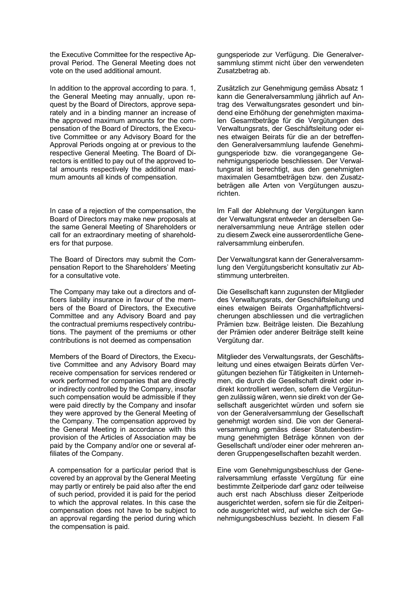the Executive Committee for the respective Approval Period. The General Meeting does not vote on the used additional amount.

In addition to the approval according to para. 1, the General Meeting may annually, upon request by the Board of Directors, approve separately and in a binding manner an increase of the approved maximum amounts for the compensation of the Board of Directors, the Executive Committee or any Advisory Board for the Approval Periods ongoing at or previous to the respective General Meeting. The Board of Directors is entitled to pay out of the approved total amounts respectively the additional maximum amounts all kinds of compensation.

In case of a rejection of the compensation, the Board of Directors may make new proposals at the same General Meeting of Shareholders or call for an extraordinary meeting of shareholders for that purpose.

The Board of Directors may submit the Compensation Report to the Shareholders' Meeting for a consultative vote.

The Company may take out a directors and officers liability insurance in favour of the members of the Board of Directors, the Executive Committee and any Advisory Board and pay the contractual premiums respectively contributions. The payment of the premiums or other contributions is not deemed as compensation

Members of the Board of Directors, the Executive Committee and any Advisory Board may receive compensation for services rendered or work performed for companies that are directly or indirectly controlled by the Company, insofar such compensation would be admissible if they were paid directly by the Company and insofar they were approved by the General Meeting of the Company. The compensation approved by the General Meeting in accordance with this provision of the Articles of Association may be paid by the Company and/or one or several affiliates of the Company.

A compensation for a particular period that is covered by an approval by the General Meeting may partly or entirely be paid also after the end of such period, provided it is paid for the period to which the approval relates. In this case the compensation does not have to be subject to an approval regarding the period during which the compensation is paid.

gungsperiode zur Verfügung. Die Generalversammlung stimmt nicht über den verwendeten Zusatzbetrag ab.

Zusätzlich zur Genehmigung gemäss Absatz 1 kann die Generalversammlung jährlich auf Antrag des Verwaltungsrates gesondert und bindend eine Erhöhung der genehmigten maximalen Gesamtbeträge für die Vergütungen des Verwaltungsrats, der Geschäftsleitung oder eines etwaigen Beirats für die an der betreffenden Generalversammlung laufende Genehmigungsperiode bzw. die vorangegangene Genehmigungsperiode beschliessen. Der Verwaltungsrat ist berechtigt, aus den genehmigten maximalen Gesamtbeträgen bzw. den Zusatzbeträgen alle Arten von Vergütungen auszurichten.

 lm Fall der Ablehnung der Vergütungen kann der Verwaltungsrat entweder an derselben Generalversammlung neue Anträge stellen oder zu diesem Zweck eine ausserordentliche Generalversammlung einberufen.

Der Verwaltungsrat kann der Generalversammlung den Vergütungsbericht konsultativ zur Abstimmung unterbreiten.

Die Gesellschaft kann zugunsten der Mitglieder des Verwaltungsrats, der Geschäftsleitung und eines etwaigen Beirats Organhaftpflichtversicherungen abschliessen und die vertraglichen Prämien bzw. Beiträge leisten. Die Bezahlung der Prämien oder anderer Beiträge stellt keine Vergütung dar.

Mitglieder des Verwaltungsrats, der Geschäftsleitung und eines etwaigen Beirats dürfen Vergütungen beziehen für Tätigkeiten in Unternehmen, die durch die Gesellschaft direkt oder indirekt kontrolliert werden, sofern die Vergütungen zulässig wären, wenn sie direkt von der Gesellschaft ausgerichtet würden und sofern sie von der Generalversammlung der Gesellschaft genehmigt worden sind. Die von der Generalversammlung gemäss dieser Statutenbestimmung genehmigten Beträge können von der Gesellschaft und/oder einer oder mehreren anderen Gruppengesellschaften bezahlt werden.

Eine vom Genehmigungsbeschluss der Generalversammlung erfasste Vergütung für eine bestimmte Zeitperiode darf ganz oder teilweise auch erst nach Abschluss dieser Zeitperiode ausgerichtet werden, sofern sie für die Zeitperiode ausgerichtet wird, auf welche sich der Genehmigungsbeschluss bezieht. In diesem Fall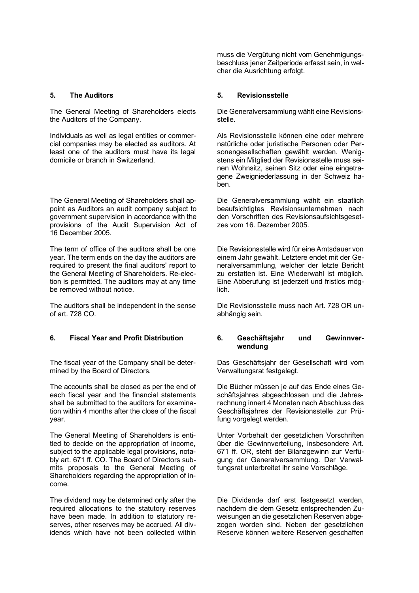The General Meeting of Shareholders elects the Auditors of the Company.

Individuals as well as legal entities or commercial companies may be elected as auditors. At least one of the auditors must have its legal domicile or branch in Switzerland.

The General Meeting of Shareholders shall appoint as Auditors an audit company subject to government supervision in accordance with the provisions of the Audit Supervision Act of 16 December 2005.

The term of office of the auditors shall be one year. The term ends on the day the auditors are required to present the final auditors' report to the General Meeting of Shareholders. Re-election is permitted. The auditors may at any time be removed without notice.

The auditors shall be independent in the sense of art. 728 CO.

The fiscal year of the Company shall be determined by the Board of Directors.

The accounts shall be closed as per the end of each fiscal year and the financial statements shall be submitted to the auditors for examination within 4 months after the close of the fiscal year.

The General Meeting of Shareholders is entitled to decide on the appropriation of income, subject to the applicable legal provisions, notably art. 671 ff. CO. The Board of Directors submits proposals to the General Meeting of Shareholders regarding the appropriation of income.

The dividend may be determined only after the required allocations to the statutory reserves have been made. In addition to statutory reserves, other reserves may be accrued. All dividends which have not been collected within muss die Vergütung nicht vom Genehmigungsbeschluss jener Zeitperiode erfasst sein, in welcher die Ausrichtung erfolgt.

## **5. The Auditors 5. Revisionsstelle**

Die Generalversammlung wählt eine Revisionsstelle.

Als Revisionsstelle können eine oder mehrere natürliche oder juristische Personen oder Personengesellschaften gewählt werden. Wenigstens ein Mitglied der Revisionsstelle muss seinen Wohnsitz, seinen Sitz oder eine eingetragene Zweigniederlassung in der Schweiz haben.

Die Generalversammlung wählt ein staatlich beaufsichtigtes Revisionsunternehmen nach den Vorschriften des Revisionsaufsichtsgesetzes vom 16. Dezember 2005.

Die Revisionsstelle wird für eine Amtsdauer von einem Jahr gewählt. Letztere endet mit der Generalversammlung, welcher der letzte Bericht zu erstatten ist. Eine Wiederwahl ist möglich. Eine Abberufung ist jederzeit und fristlos möglich.

Die Revisionsstelle muss nach Art. 728 OR unabhängig sein.

# **6. Fiscal Year and Profit Distribution 6. Geschäftsjahr und Gewinnverwendung**

Das Geschäftsjahr der Gesellschaft wird vom Verwaltungsrat festgelegt.

Die Bücher müssen je auf das Ende eines Geschäftsjahres abgeschlossen und die Jahresrechnung innert 4 Monaten nach Abschluss des Geschäftsjahres der Revisionsstelle zur Prüfung vorgelegt werden.

Unter Vorbehalt der gesetzlichen Vorschriften über die Gewinnverteilung, insbesondere Art. 671 ff. OR, steht der Bilanzgewinn zur Verfügung der Generalversammlung. Der Verwaltungsrat unterbreitet ihr seine Vorschläge.

Die Dividende darf erst festgesetzt werden, nachdem die dem Gesetz entsprechenden Zuweisungen an die gesetzlichen Reserven abgezogen worden sind. Neben der gesetzlichen Reserve können weitere Reserven geschaffen